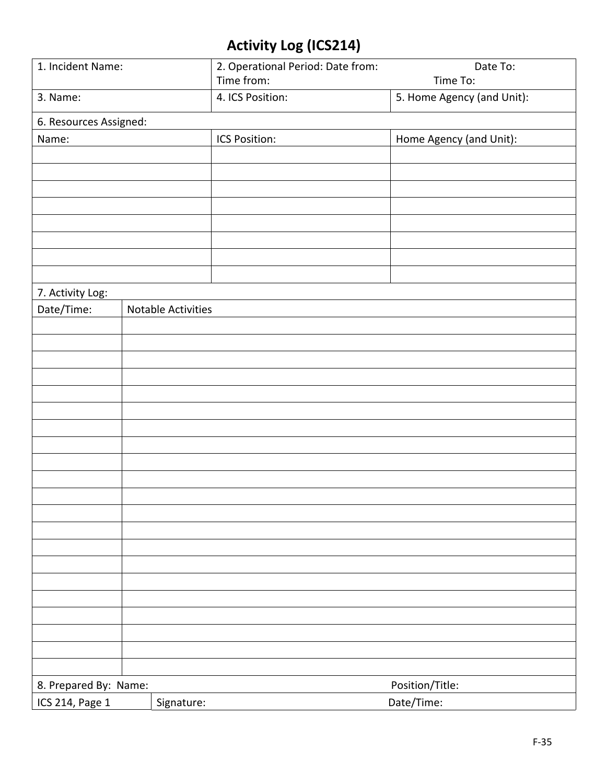## **Activity Log (ICS214)**

| 1. Incident Name:                        | 2. Operational Period: Date from: | Date To:                   |  |  |
|------------------------------------------|-----------------------------------|----------------------------|--|--|
|                                          | Time from:                        | Time To:                   |  |  |
| 3. Name:                                 | 4. ICS Position:                  | 5. Home Agency (and Unit): |  |  |
| 6. Resources Assigned:                   |                                   |                            |  |  |
| Name:                                    | ICS Position:                     | Home Agency (and Unit):    |  |  |
|                                          |                                   |                            |  |  |
|                                          |                                   |                            |  |  |
|                                          |                                   |                            |  |  |
|                                          |                                   |                            |  |  |
|                                          |                                   |                            |  |  |
|                                          |                                   |                            |  |  |
|                                          |                                   |                            |  |  |
|                                          |                                   |                            |  |  |
| 7. Activity Log:                         |                                   |                            |  |  |
| Date/Time:                               | Notable Activities                |                            |  |  |
|                                          |                                   |                            |  |  |
|                                          |                                   |                            |  |  |
|                                          |                                   |                            |  |  |
|                                          |                                   |                            |  |  |
|                                          |                                   |                            |  |  |
|                                          |                                   |                            |  |  |
|                                          |                                   |                            |  |  |
|                                          |                                   |                            |  |  |
|                                          |                                   |                            |  |  |
|                                          |                                   |                            |  |  |
|                                          |                                   |                            |  |  |
|                                          |                                   |                            |  |  |
|                                          |                                   |                            |  |  |
|                                          |                                   |                            |  |  |
|                                          |                                   |                            |  |  |
|                                          |                                   |                            |  |  |
|                                          |                                   |                            |  |  |
|                                          |                                   |                            |  |  |
|                                          |                                   |                            |  |  |
|                                          |                                   |                            |  |  |
|                                          |                                   |                            |  |  |
| 8. Prepared By: Name:<br>Position/Title: |                                   |                            |  |  |
| ICS 214, Page 1                          | Signature:                        | Date/Time:                 |  |  |